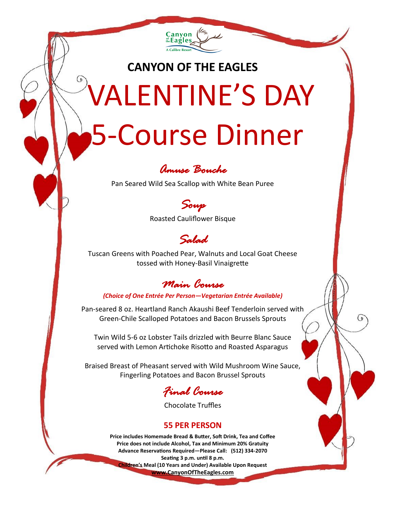

# **CANYON OF THE EAGLES** VALENTINE'S DAY 5-Course Dinner



Pan Seared Wild Sea Scallop with White Bean Puree



Roasted Cauliflower Bisque

## *Salad*

Tuscan Greens with Poached Pear, Walnuts and Local Goat Cheese tossed with Honey-Basil Vinaigrette

## *Main Course*

#### *(Choice of One Entrée Per Person—Vegetarian Entrée Available)*

Pan-seared 8 oz. Heartland Ranch Akaushi Beef Tenderloin served with Green-Chile Scalloped Potatoes and Bacon Brussels Sprouts

Twin Wild 5-6 oz Lobster Tails drizzled with Beurre Blanc Sauce served with Lemon Artichoke Risotto and Roasted Asparagus

Braised Breast of Pheasant served with Wild Mushroom Wine Sauce, Fingerling Potatoes and Bacon Brussel Sprouts

## *Final Course*

Chocolate Truffles

#### **55 PER PERSON**

**Price includes Homemade Bread & Butter, Soft Drink, Tea and Coffee Price does not include Alcohol, Tax and Minimum 20% Gratuity Advance Reservations Required—Please Call: (512) 334-2070 Seating 3 p.m. until 8 p.m. Children's Meal (10 Years and Under) Available Upon Request www.CanyonOfTheEagles.com**